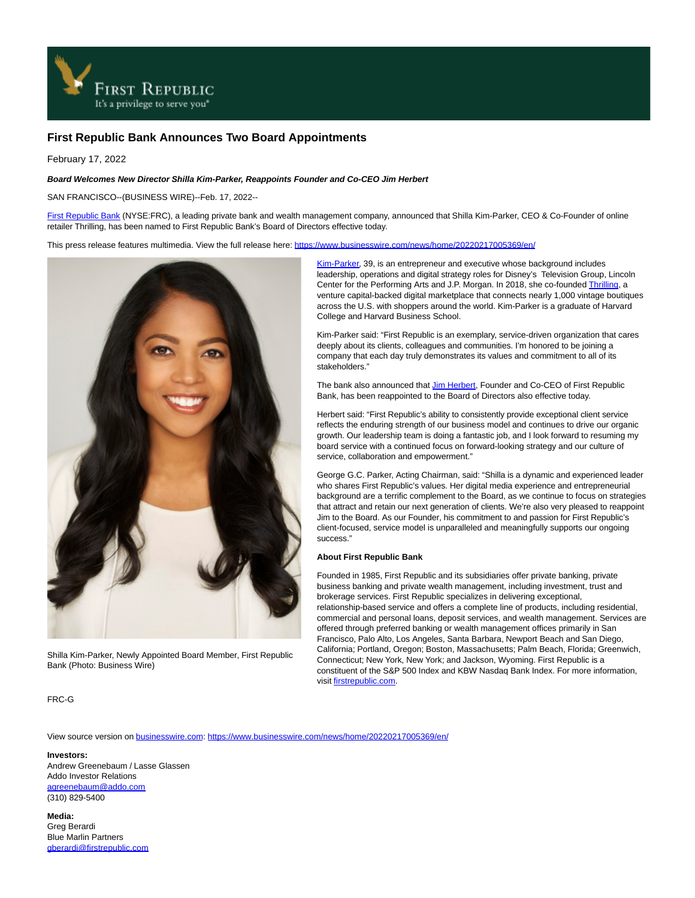

## **First Republic Bank Announces Two Board Appointments**

February 17, 2022

## **Board Welcomes New Director Shilla Kim-Parker, Reappoints Founder and Co-CEO Jim Herbert**

SAN FRANCISCO--(BUSINESS WIRE)--Feb. 17, 2022--

[First Republic Bank \(](https://cts.businesswire.com/ct/CT?id=smartlink&url=http%3A%2F%2Fwww.firstrepublic.com&esheet=52581199&newsitemid=20220217005369&lan=en-US&anchor=First+Republic+Bank&index=1&md5=8a8d4ee095b1a0b3de3e4db3c9a8ecf1)NYSE:FRC), a leading private bank and wealth management company, announced that Shilla Kim-Parker, CEO & Co-Founder of online retailer Thrilling, has been named to First Republic Bank's Board of Directors effective today.

This press release features multimedia. View the full release here:<https://www.businesswire.com/news/home/20220217005369/en/>



Shilla Kim-Parker, Newly Appointed Board Member, First Republic Bank (Photo: Business Wire)

[Kim-Parker,](https://cts.businesswire.com/ct/CT?id=smartlink&url=https%3A%2F%2Fshopthrilling.com%2Fpages%2Fabout-shilla&esheet=52581199&newsitemid=20220217005369&lan=en-US&anchor=Kim-Parker&index=2&md5=05e2c5e21c54690f3b055b96f140c66e) 39, is an entrepreneur and executive whose background includes leadership, operations and digital strategy roles for Disney's Television Group, Lincoln Center for the Performing Arts and J.P. Morgan. In 2018, she co-founde[d Thrilling,](https://cts.businesswire.com/ct/CT?id=smartlink&url=https%3A%2F%2Fshopthrilling.com%2F&esheet=52581199&newsitemid=20220217005369&lan=en-US&anchor=Thrilling&index=3&md5=4b2effaefff97e7a7c93447657078aea) a venture capital-backed digital marketplace that connects nearly 1,000 vintage boutiques across the U.S. with shoppers around the world. Kim-Parker is a graduate of Harvard College and Harvard Business School.

Kim-Parker said: "First Republic is an exemplary, service-driven organization that cares deeply about its clients, colleagues and communities. I'm honored to be joining a company that each day truly demonstrates its values and commitment to all of its stakeholders."

The bank also announced that [Jim Herbert,](https://cts.businesswire.com/ct/CT?id=smartlink&url=https%3A%2F%2Fwww.firstrepublic.com%2Fall-profiles%2Fjames-h-herbert-ii&esheet=52581199&newsitemid=20220217005369&lan=en-US&anchor=Jim+Herbert&index=4&md5=17f03cc72508e922723de5d2b048ba27) Founder and Co-CEO of First Republic Bank, has been reappointed to the Board of Directors also effective today.

Herbert said: "First Republic's ability to consistently provide exceptional client service reflects the enduring strength of our business model and continues to drive our organic growth. Our leadership team is doing a fantastic job, and I look forward to resuming my board service with a continued focus on forward-looking strategy and our culture of service, collaboration and empowerment."

George G.C. Parker, Acting Chairman, said: "Shilla is a dynamic and experienced leader who shares First Republic's values. Her digital media experience and entrepreneurial background are a terrific complement to the Board, as we continue to focus on strategies that attract and retain our next generation of clients. We're also very pleased to reappoint Jim to the Board. As our Founder, his commitment to and passion for First Republic's client-focused, service model is unparalleled and meaningfully supports our ongoing success."

## **About First Republic Bank**

Founded in 1985, First Republic and its subsidiaries offer private banking, private business banking and private wealth management, including investment, trust and brokerage services. First Republic specializes in delivering exceptional, relationship-based service and offers a complete line of products, including residential, commercial and personal loans, deposit services, and wealth management. Services are offered through preferred banking or wealth management offices primarily in San Francisco, Palo Alto, Los Angeles, Santa Barbara, Newport Beach and San Diego, California; Portland, Oregon; Boston, Massachusetts; Palm Beach, Florida; Greenwich, Connecticut; New York, New York; and Jackson, Wyoming. First Republic is a constituent of the S&P 500 Index and KBW Nasdaq Bank Index. For more information, visi[t firstrepublic.com.](https://cts.businesswire.com/ct/CT?id=smartlink&url=http%3A%2F%2Fwww.firstrepublic.com&esheet=52581199&newsitemid=20220217005369&lan=en-US&anchor=firstrepublic.com&index=5&md5=728b7f3fc6b88c6882d5a391d4a2b198)

FRC-G

View source version on [businesswire.com:](http://businesswire.com/)<https://www.businesswire.com/news/home/20220217005369/en/>

## **Investors:**

Andrew Greenebaum / Lasse Glassen Addo Investor Relations [agreenebaum@addo.com](mailto:agreenebaum@addo.com) (310) 829-5400

**Media:** Greg Berardi Blue Marlin Partners [gberardi@firstrepublic.com](mailto:gberardi@firstrepublic.com)